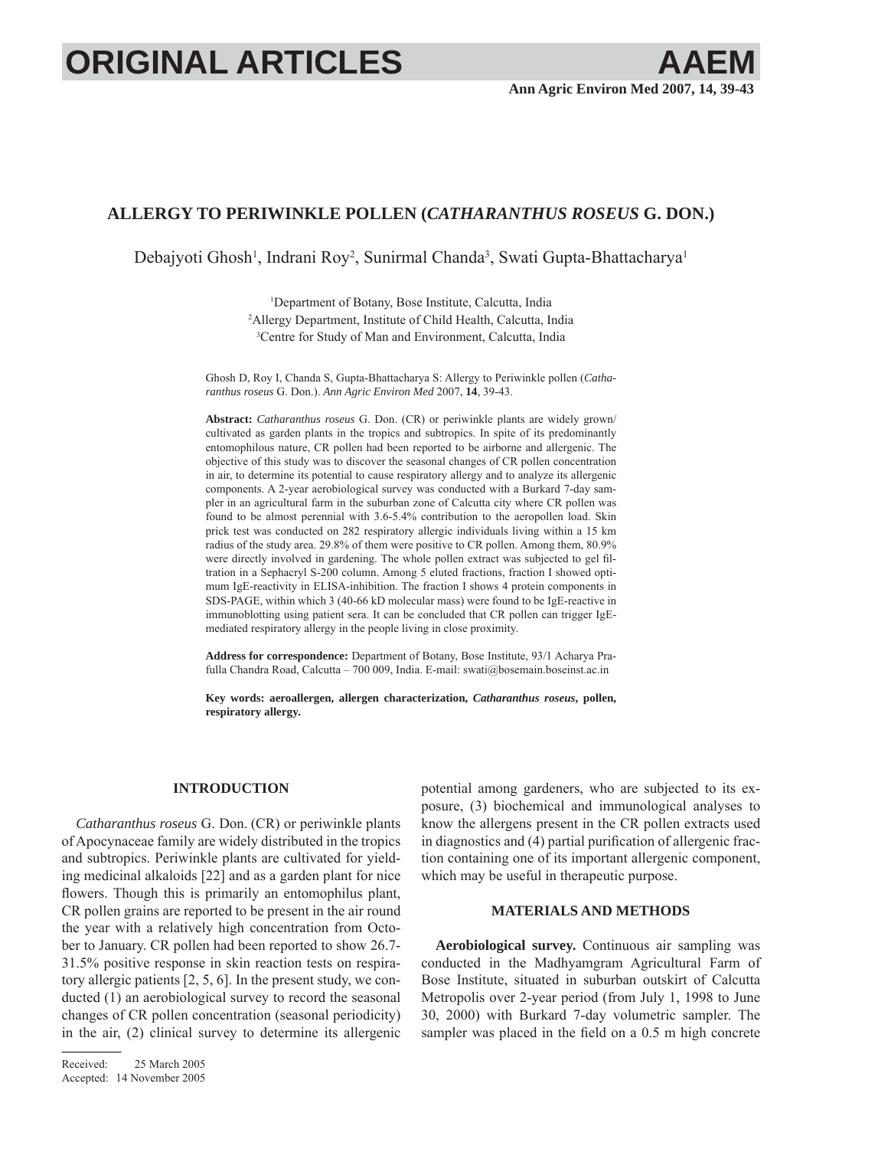# **ORIGINAL ARTICLES**

# **ALLERGY TO PERIWINKLE POLLEN (***CATHARANTHUS ROSEUS* **G. DON.)**

Debajyoti Ghosh<sup>1</sup>, Indrani Roy<sup>2</sup>, Sunirmal Chanda<sup>3</sup>, Swati Gupta-Bhattacharya<sup>1</sup>

1 Department of Botany, Bose Institute, Calcutta, India 2 Allergy Department, Institute of Child Health, Calcutta, India 3 Centre for Study of Man and Environment, Calcutta, India

Ghosh D, Roy I, Chanda S, Gupta-Bhattacharya S: Allergy to Periwinkle pollen (*Catharanthus roseus* G. Don.). *Ann Agric Environ Med* 2007, **14**, 39-43.

**Abstract:** *Catharanthus roseus* G. Don. (CR) or periwinkle plants are widely grown/ cultivated as garden plants in the tropics and subtropics. In spite of its predominantly entomophilous nature, CR pollen had been reported to be airborne and allergenic. The objective of this study was to discover the seasonal changes of CR pollen concentration in air, to determine its potential to cause respiratory allergy and to analyze its allergenic components. A 2-year aerobiological survey was conducted with a Burkard 7-day sampler in an agricultural farm in the suburban zone of Calcutta city where CR pollen was found to be almost perennial with 3.6-5.4% contribution to the aeropollen load. Skin prick test was conducted on 282 respiratory allergic individuals living within a 15 km radius of the study area. 29.8% of them were positive to CR pollen. Among them, 80.9% were directly involved in gardening. The whole pollen extract was subjected to gel filtration in a Sephacryl S-200 column. Among 5 eluted fractions, fraction I showed optimum IgE-reactivity in ELISA-inhibition. The fraction I shows 4 protein components in SDS-PAGE, within which 3 (40-66 kD molecular mass) were found to be IgE-reactive in immunoblotting using patient sera. It can be concluded that CR pollen can trigger IgEmediated respiratory allergy in the people living in close proximity.

**Address for correspondence:** Department of Botany, Bose Institute, 93/1 Acharya Prafulla Chandra Road, Calcutta – 700 009, India. E-mail: swati@bosemain.boseinst.ac.in

**Key words: aeroallergen, allergen characterization,** *Catharanthus roseus***, pollen, respiratory allergy.**

### **INTRODUCTION**

*Catharanthus roseus* G. Don. (CR) or periwinkle plants of Apocynaceae family are widely distributed in the tropics and subtropics. Periwinkle plants are cultivated for yielding medicinal alkaloids [22] and as a garden plant for nice flowers. Though this is primarily an entomophilus plant, CR pollen grains are reported to be present in the air round the year with a relatively high concentration from October to January. CR pollen had been reported to show 26.7- 31.5% positive response in skin reaction tests on respiratory allergic patients [2, 5, 6]. In the present study, we conducted (1) an aerobiological survey to record the seasonal changes of CR pollen concentration (seasonal periodicity) in the air, (2) clinical survey to determine its allergenic

potential among gardeners, who are subjected to its exposure, (3) biochemical and immunological analyses to know the allergens present in the CR pollen extracts used in diagnostics and  $(4)$  partial purification of allergenic fraction containing one of its important allergenic component, which may be useful in therapeutic purpose.

## **MATERIALS AND METHODS**

**Aerobiological survey.** Continuous air sampling was conducted in the Madhyamgram Agricultural Farm of Bose Institute, situated in suburban outskirt of Calcutta Metropolis over 2-year period (from July 1, 1998 to June 30, 2000) with Burkard 7-day volumetric sampler. The sampler was placed in the field on a 0.5 m high concrete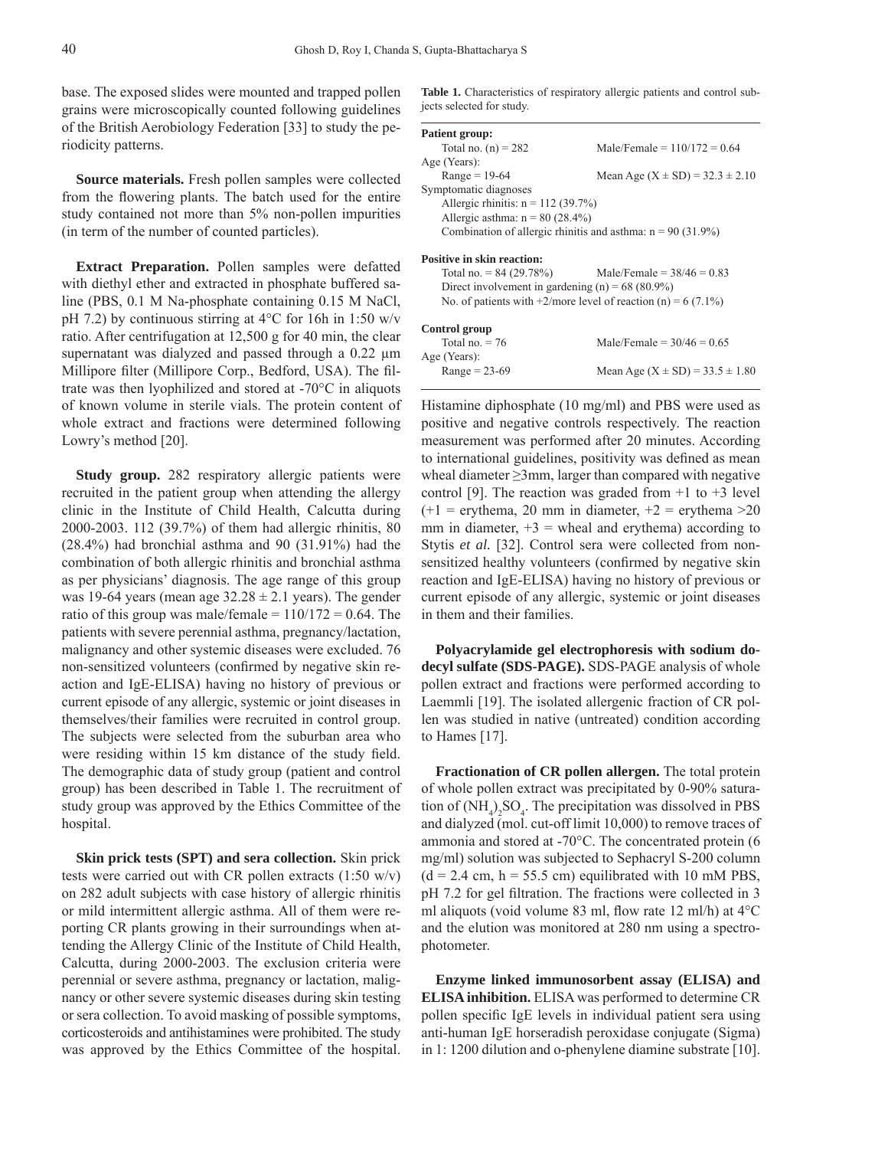base. The exposed slides were mounted and trapped pollen grains were microscopically counted following guidelines of the British Aerobiology Federation [33] to study the periodicity patterns.

**Source materials.** Fresh pollen samples were collected from the flowering plants. The batch used for the entire study contained not more than 5% non-pollen impurities (in term of the number of counted particles).

**Extract Preparation.** Pollen samples were defatted with diethyl ether and extracted in phosphate buffered saline (PBS, 0.1 M Na-phosphate containing 0.15 M NaCl, pH 7.2) by continuous stirring at 4°C for 16h in 1:50 w/v ratio. After centrifugation at 12,500 g for 40 min, the clear supernatant was dialyzed and passed through a 0.22 μm Millipore filter (Millipore Corp., Bedford, USA). The filtrate was then lyophilized and stored at -70°C in aliquots of known volume in sterile vials. The protein content of whole extract and fractions were determined following Lowry's method [20].

**Study group.** 282 respiratory allergic patients were recruited in the patient group when attending the allergy clinic in the Institute of Child Health, Calcutta during 2000-2003. 112 (39.7%) of them had allergic rhinitis, 80 (28.4%) had bronchial asthma and 90 (31.91%) had the combination of both allergic rhinitis and bronchial asthma as per physicians' diagnosis. The age range of this group was 19-64 years (mean age  $32.28 \pm 2.1$  years). The gender ratio of this group was male/female  $= 110/172 = 0.64$ . The patients with severe perennial asthma, pregnancy/lactation, malignancy and other systemic diseases were excluded. 76 non-sensitized volunteers (confirmed by negative skin reaction and IgE-ELISA) having no history of previous or current episode of any allergic, systemic or joint diseases in themselves/their families were recruited in control group. The subjects were selected from the suburban area who were residing within 15 km distance of the study field. The demographic data of study group (patient and control group) has been described in Table 1. The recruitment of study group was approved by the Ethics Committee of the hospital.

**Skin prick tests (SPT) and sera collection.** Skin prick tests were carried out with CR pollen extracts (1:50 w/v) on 282 adult subjects with case history of allergic rhinitis or mild intermittent allergic asthma. All of them were reporting CR plants growing in their surroundings when attending the Allergy Clinic of the Institute of Child Health, Calcutta, during 2000-2003. The exclusion criteria were perennial or severe asthma, pregnancy or lactation, malignancy or other severe systemic diseases during skin testing or sera collection. To avoid masking of possible symptoms, corticosteroids and antihistamines were prohibited. The study was approved by the Ethics Committee of the hospital.

Table 1. Characteristics of respiratory allergic patients and control subjects selected for study.

| <b>Patient group:</b>                              |                                                                  |
|----------------------------------------------------|------------------------------------------------------------------|
| Total no. $(n) = 282$                              | Male/Female = $110/172 = 0.64$                                   |
| Age (Years):                                       |                                                                  |
| $Range = 19-64$                                    | Mean Age $(X \pm SD) = 32.3 \pm 2.10$                            |
| Symptomatic diagnoses                              |                                                                  |
| Allergic rhinitis: $n = 112$ (39.7%)               |                                                                  |
| Allergic asthma: $n = 80$ (28.4%)                  |                                                                  |
|                                                    | Combination of allergic rhinitis and asthma: $n = 90$ (31.9%)    |
| <b>Positive in skin reaction:</b>                  |                                                                  |
| Total no. $= 84 (29.78%)$                          | Male/Female = $38/46 = 0.83$                                     |
| Direct involvement in gardening (n) = $68$ (80.9%) |                                                                  |
|                                                    | No. of patients with $+2$ /more level of reaction (n) = 6 (7.1%) |
| Control group                                      |                                                                  |
| Total no. $= 76$                                   | Male/Female = $30/46 = 0.65$                                     |
| Age (Years):                                       |                                                                  |
| $Range = 23-69$                                    | Mean Age $(X \pm SD) = 33.5 \pm 1.80$                            |

Histamine diphosphate (10 mg/ml) and PBS were used as positive and negative controls respectively. The reaction measurement was performed after 20 minutes. According to international guidelines, positivity was defined as mean wheal diameter  $\geq 3$ mm, larger than compared with negative control [9]. The reaction was graded from  $+1$  to  $+3$  level  $(+1 =$  erythema, 20 mm in diameter,  $+2 =$  erythema >20 mm in diameter,  $+3$  = wheal and erythema) according to Stytis *et al.* [32]. Control sera were collected from nonsensitized healthy volunteers (confirmed by negative skin reaction and IgE-ELISA) having no history of previous or current episode of any allergic, systemic or joint diseases in them and their families.

**Polyacrylamide gel electrophoresis with sodium dodecyl sulfate (SDS-PAGE).** SDS-PAGE analysis of whole pollen extract and fractions were performed according to Laemmli [19]. The isolated allergenic fraction of CR pollen was studied in native (untreated) condition according to Hames [17].

**Fractionation of CR pollen allergen.** The total protein of whole pollen extract was precipitated by 0-90% saturation of  $(NH_4)_2SO_4$ . The precipitation was dissolved in PBS and dialyzed (mol. cut-off limit 10,000) to remove traces of ammonia and stored at -70°C. The concentrated protein (6 mg/ml) solution was subjected to Sephacryl S-200 column  $(d = 2.4$  cm, h = 55.5 cm) equilibrated with 10 mM PBS, pH 7.2 for gel filtration. The fractions were collected in 3 ml aliquots (void volume 83 ml, flow rate 12 ml/h) at  $4^{\circ}$ C and the elution was monitored at 280 nm using a spectrophotometer.

**Enzyme linked immunosorbent assay (ELISA) and ELISA inhibition.** ELISA was performed to determine CR pollen specific IgE levels in individual patient sera using anti-human IgE horseradish peroxidase conjugate (Sigma) in 1: 1200 dilution and o-phenylene diamine substrate [10].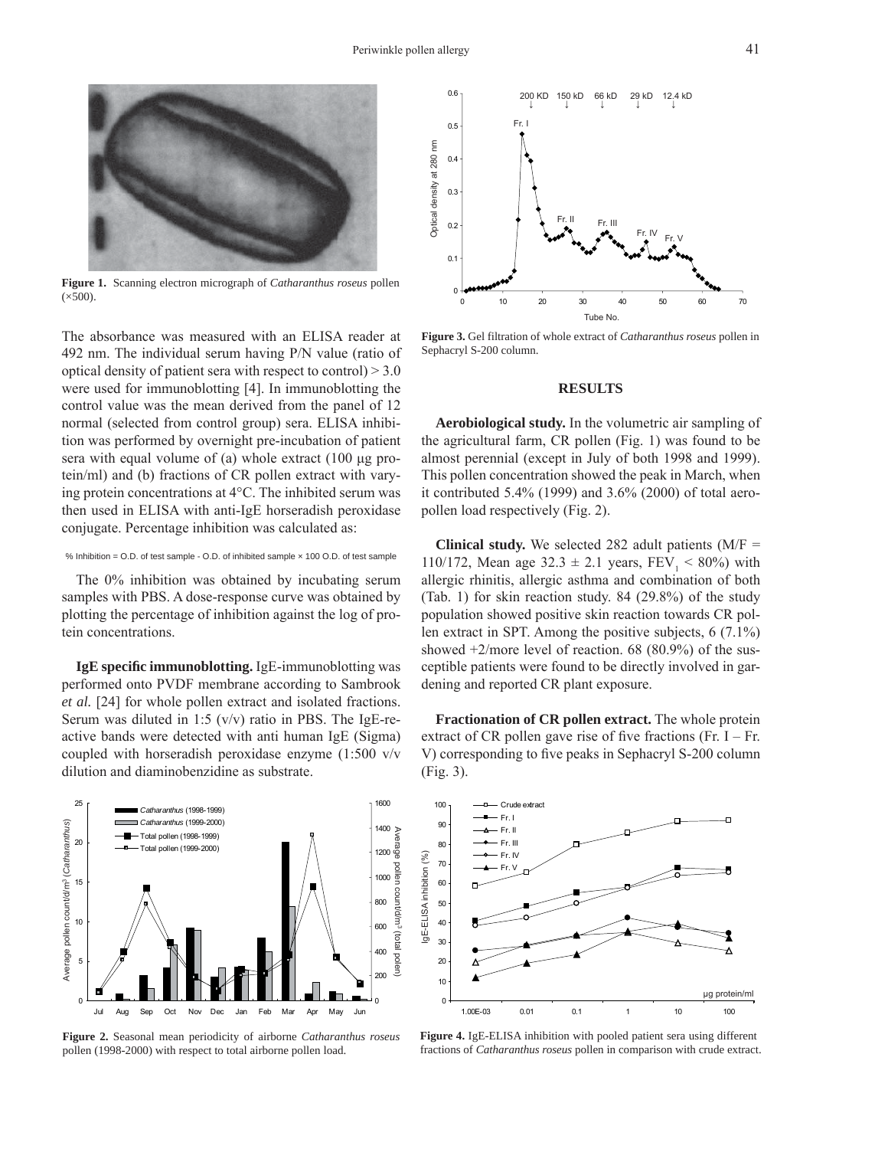

**Figure 1.** Scanning electron micrograph of *Catharanthus roseus* pollen  $(x500)$ .

The absorbance was measured with an ELISA reader at 492 nm. The individual serum having P/N value (ratio of optical density of patient sera with respect to control) > 3.0 were used for immunoblotting [4]. In immunoblotting the control value was the mean derived from the panel of 12 normal (selected from control group) sera. ELISA inhibition was performed by overnight pre-incubation of patient sera with equal volume of (a) whole extract (100 μg protein/ml) and (b) fractions of CR pollen extract with varying protein concentrations at 4°C. The inhibited serum was then used in ELISA with anti-IgE horseradish peroxidase conjugate. Percentage inhibition was calculated as:

#### % Inhibition = O.D. of test sample - O.D. of inhibited sample × 100 O.D. of test sample

The 0% inhibition was obtained by incubating serum samples with PBS. A dose-response curve was obtained by plotting the percentage of inhibition against the log of protein concentrations.

**IgE specifi c immunoblotting.** IgE-immunoblotting was performed onto PVDF membrane according to Sambrook *et al.* [24] for whole pollen extract and isolated fractions. Serum was diluted in 1:5  $(v/v)$  ratio in PBS. The IgE-reactive bands were detected with anti human IgE (Sigma) coupled with horseradish peroxidase enzyme (1:500 v/v dilution and diaminobenzidine as substrate.







**Figure 3.** Gel filtration of whole extract of *Catharanthus roseus* pollen in Sephacryl S-200 column.

#### **RESULTS**

**Aerobiological study.** In the volumetric air sampling of the agricultural farm, CR pollen (Fig. 1) was found to be almost perennial (except in July of both 1998 and 1999). This pollen concentration showed the peak in March, when it contributed 5.4% (1999) and 3.6% (2000) of total aeropollen load respectively (Fig. 2).

**Clinical study.** We selected 282 adult patients  $(M/F =$ 110/172, Mean age  $32.3 \pm 2.1$  years,  $FEV_1 < 80\%$ ) with allergic rhinitis, allergic asthma and combination of both (Tab. 1) for skin reaction study. 84 (29.8%) of the study population showed positive skin reaction towards CR pollen extract in SPT. Among the positive subjects, 6 (7.1%) showed  $+2$ /more level of reaction. 68 (80.9%) of the susceptible patients were found to be directly involved in gardening and reported CR plant exposure.

**Fractionation of CR pollen extract.** The whole protein extract of CR pollen gave rise of five fractions (Fr. I – Fr. V) corresponding to five peaks in Sephacryl S-200 column (Fig. 3).



**Figure 4.** IgE-ELISA inhibition with pooled patient sera using different fractions of *Catharanthus roseus* pollen in comparison with crude extract.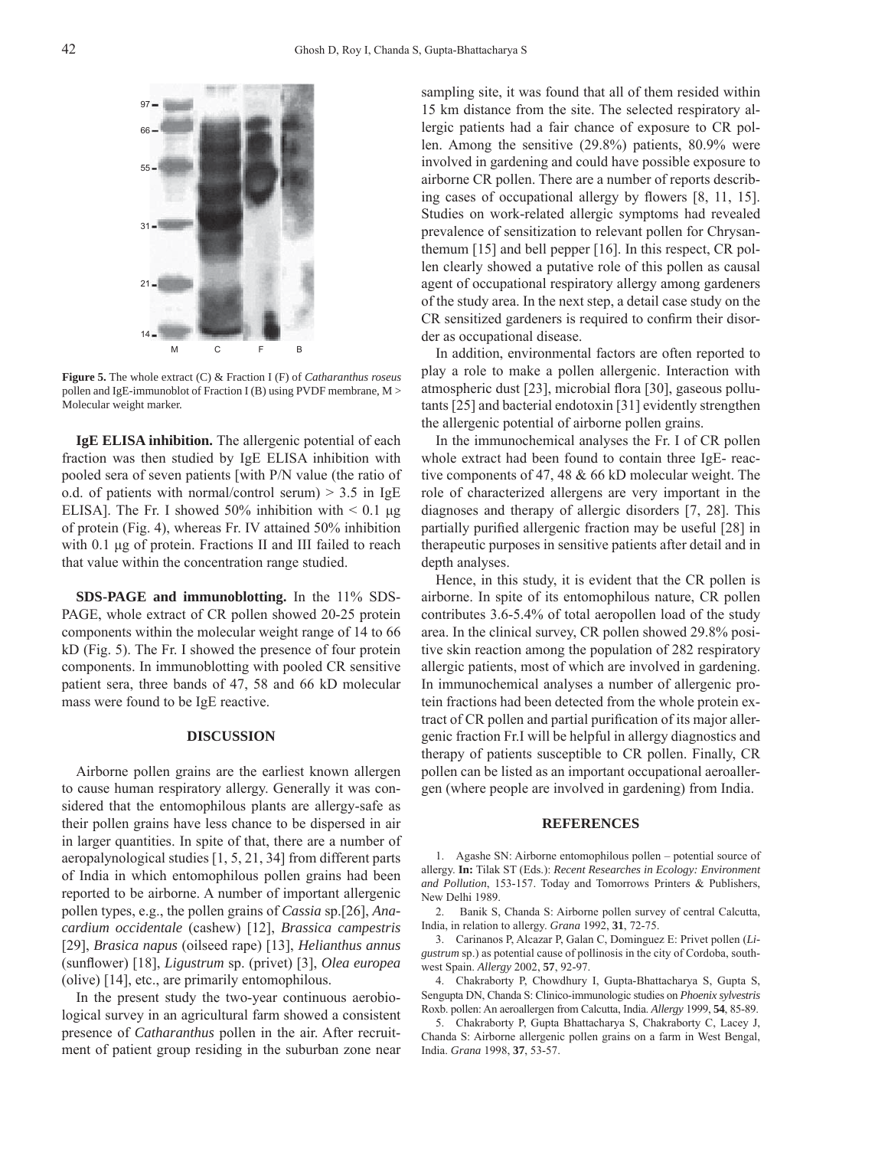$97 -$ 66 55 31 21 14 M C FB

**Figure 5.** The whole extract (C) & Fraction I (F) of *Catharanthus roseus* pollen and IgE-immunoblot of Fraction I (B) using PVDF membrane, M > Molecular weight marker.

**IgE ELISA inhibition.** The allergenic potential of each fraction was then studied by IgE ELISA inhibition with pooled sera of seven patients [with P/N value (the ratio of o.d. of patients with normal/control serum)  $> 3.5$  in IgE ELISA]. The Fr. I showed 50% inhibition with  $\leq 0.1$  µg of protein (Fig. 4), whereas Fr. IV attained 50% inhibition with 0.1 μg of protein. Fractions II and III failed to reach that value within the concentration range studied.

**SDS-PAGE and immunoblotting.** In the 11% SDS-PAGE, whole extract of CR pollen showed 20-25 protein components within the molecular weight range of 14 to 66 kD (Fig. 5). The Fr. I showed the presence of four protein components. In immunoblotting with pooled CR sensitive patient sera, three bands of 47, 58 and 66 kD molecular mass were found to be IgE reactive.

#### **DISCUSSION**

Airborne pollen grains are the earliest known allergen to cause human respiratory allergy. Generally it was considered that the entomophilous plants are allergy-safe as their pollen grains have less chance to be dispersed in air in larger quantities. In spite of that, there are a number of aeropalynological studies [1, 5, 21, 34] from different parts of India in which entomophilous pollen grains had been reported to be airborne. A number of important allergenic pollen types, e.g., the pollen grains of *Cassia* sp.[26], *Anacardium occidentale* (cashew) [12], *Brassica campestris* [29], *Brasica napus* (oilseed rape) [13], *Helianthus annus* (sunfl ower) [18], *Ligustrum* sp. (privet) [3], *Olea europea* (olive) [14], etc., are primarily entomophilous.

In the present study the two-year continuous aerobiological survey in an agricultural farm showed a consistent presence of *Catharanthus* pollen in the air. After recruitment of patient group residing in the suburban zone near sampling site, it was found that all of them resided within 15 km distance from the site. The selected respiratory allergic patients had a fair chance of exposure to CR pollen. Among the sensitive (29.8%) patients, 80.9% were involved in gardening and could have possible exposure to airborne CR pollen. There are a number of reports describing cases of occupational allergy by flowers  $[8, 11, 15]$ . Studies on work-related allergic symptoms had revealed prevalence of sensitization to relevant pollen for Chrysanthemum [15] and bell pepper [16]. In this respect, CR pollen clearly showed a putative role of this pollen as causal agent of occupational respiratory allergy among gardeners of the study area. In the next step, a detail case study on the CR sensitized gardeners is required to confirm their disorder as occupational disease.

In addition, environmental factors are often reported to play a role to make a pollen allergenic. Interaction with atmospheric dust [23], microbial flora [30], gaseous pollutants [25] and bacterial endotoxin [31] evidently strengthen the allergenic potential of airborne pollen grains.

In the immunochemical analyses the Fr. I of CR pollen whole extract had been found to contain three IgE- reactive components of 47, 48 & 66 kD molecular weight. The role of characterized allergens are very important in the diagnoses and therapy of allergic disorders [7, 28]. This partially purified allergenic fraction may be useful [28] in therapeutic purposes in sensitive patients after detail and in depth analyses.

Hence, in this study, it is evident that the CR pollen is airborne. In spite of its entomophilous nature, CR pollen contributes 3.6-5.4% of total aeropollen load of the study area. In the clinical survey, CR pollen showed 29.8% positive skin reaction among the population of 282 respiratory allergic patients, most of which are involved in gardening. In immunochemical analyses a number of allergenic protein fractions had been detected from the whole protein extract of CR pollen and partial purification of its major allergenic fraction Fr.I will be helpful in allergy diagnostics and therapy of patients susceptible to CR pollen. Finally, CR pollen can be listed as an important occupational aeroallergen (where people are involved in gardening) from India.

#### **REFERENCES**

1. Agashe SN: Airborne entomophilous pollen – potential source of allergy. **In:** Tilak ST (Eds.): *Recent Researches in Ecology: Environment and Pollution*, 153-157. Today and Tomorrows Printers & Publishers, New Delhi 1989.

2. Banik S, Chanda S: Airborne pollen survey of central Calcutta, India, in relation to allergy. *Grana* 1992, **31**, 72-75.

3. Carinanos P, Alcazar P, Galan C, Dominguez E: Privet pollen (*Ligustrum* sp.) as potential cause of pollinosis in the city of Cordoba, southwest Spain. *Allergy* 2002, **57**, 92-97.

4. Chakraborty P, Chowdhury I, Gupta-Bhattacharya S, Gupta S, Sengupta DN, Chanda S: Clinico-immunologic studies on *Phoenix sylvestris* Roxb. pollen: An aeroallergen from Calcutta, India. *Allergy* 1999, **54**, 85-89.

5. Chakraborty P, Gupta Bhattacharya S, Chakraborty C, Lacey J, Chanda S: Airborne allergenic pollen grains on a farm in West Bengal, India. *Grana* 1998, **37**, 53-57.